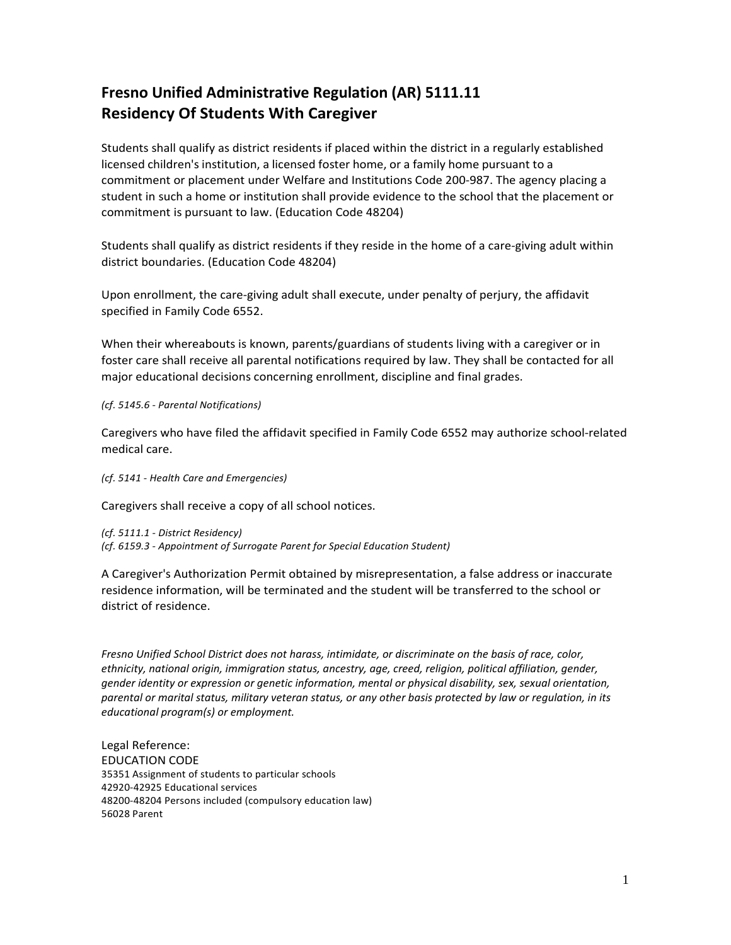## **Fresno Unified Administrative Regulation (AR) 5111.11 Residency Of Students With Caregiver**

Students shall qualify as district residents if placed within the district in a regularly established licensed children's institution, a licensed foster home, or a family home pursuant to a commitment or placement under Welfare and Institutions Code 200-987. The agency placing a student in such a home or institution shall provide evidence to the school that the placement or commitment is pursuant to law. (Education Code 48204)

Students shall qualify as district residents if they reside in the home of a care-giving adult within district boundaries. (Education Code 48204)

Upon enrollment, the care-giving adult shall execute, under penalty of perjury, the affidavit specified in Family Code 6552.

When their whereabouts is known, parents/guardians of students living with a caregiver or in foster care shall receive all parental notifications required by law. They shall be contacted for all major educational decisions concerning enrollment, discipline and final grades.

*(cf. 5145.6 - Parental Notifications)*

Caregivers who have filed the affidavit specified in Family Code 6552 may authorize school-related medical care.

*(cf. 5141 - Health Care and Emergencies)*

Caregivers shall receive a copy of all school notices.

*(cf. 5111.1 - District Residency) (cf. 6159.3 - Appointment of Surrogate Parent for Special Education Student)*

A Caregiver's Authorization Permit obtained by misrepresentation, a false address or inaccurate residence information, will be terminated and the student will be transferred to the school or district of residence.

*Fresno Unified School District does not harass, intimidate, or discriminate on the basis of race, color, ethnicity, national origin, immigration status, ancestry, age, creed, religion, political affiliation, gender, gender identity or expression or genetic information, mental or physical disability, sex, sexual orientation, parental or marital status, military veteran status, or any other basis protected by law or regulation, in its educational program(s) or employment.*

Legal Reference: EDUCATION CODE 35351 Assignment of students to particular schools 42920-42925 Educational services 48200-48204 Persons included (compulsory education law) 56028 Parent